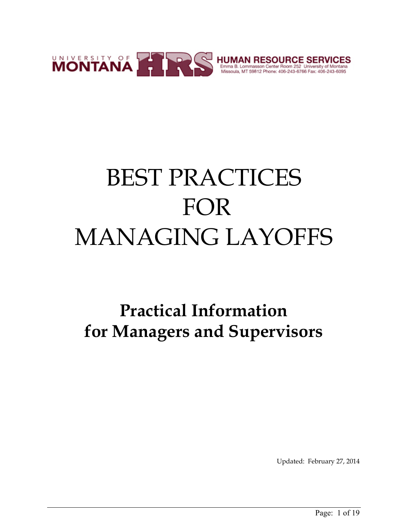

# BEST PRACTICES FOR MANAGING LAYOFFS

## **Practical Information for Managers and Supervisors**

Updated: February 27, 2014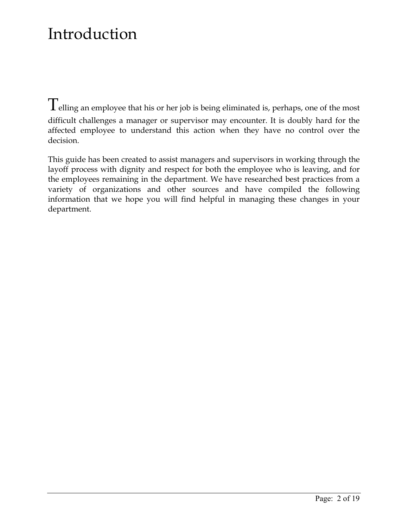### Introduction

Telling an employee that his or her job is being eliminated is, perhaps, one of the most difficult challenges a manager or supervisor may encounter. It is doubly hard for the affected employee to understand this action when they have no control over the decision.

This guide has been created to assist managers and supervisors in working through the layoff process with dignity and respect for both the employee who is leaving, and for the employees remaining in the department. We have researched best practices from a variety of organizations and other sources and have compiled the following information that we hope you will find helpful in managing these changes in your department.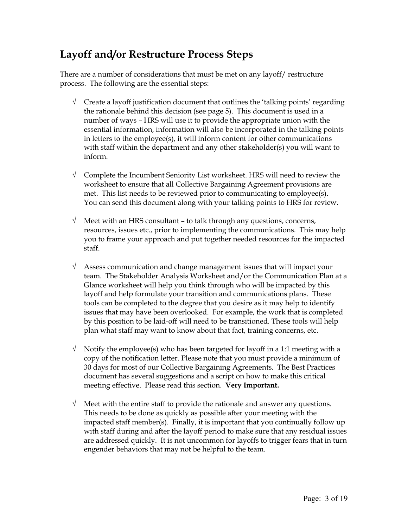### **Layoff and/or Restructure Process Steps**

There are a number of considerations that must be met on any layoff/ restructure process. The following are the essential steps:

- $\sqrt{\phantom{a}}$  Create a layoff justification document that outlines the 'talking points' regarding the rationale behind this decision (see page 5). This document is used in a number of ways – HRS will use it to provide the appropriate union with the essential information, information will also be incorporated in the talking points in letters to the employee(s), it will inform content for other communications with staff within the department and any other stakeholder(s) you will want to inform.
- $\sqrt{\phantom{a}}$  Complete the Incumbent Seniority List worksheet. HRS will need to review the worksheet to ensure that all Collective Bargaining Agreement provisions are met. This list needs to be reviewed prior to communicating to employee(s). You can send this document along with your talking points to HRS for review.
- $\sqrt{\phantom{a}}$  Meet with an HRS consultant to talk through any questions, concerns, resources, issues etc., prior to implementing the communications. This may help you to frame your approach and put together needed resources for the impacted staff.
- $\sqrt{\phantom{a}}$  Assess communication and change management issues that will impact your team. The Stakeholder Analysis Worksheet and/or the Communication Plan at a Glance worksheet will help you think through who will be impacted by this layoff and help formulate your transition and communications plans. These tools can be completed to the degree that you desire as it may help to identify issues that may have been overlooked. For example, the work that is completed by this position to be laid-off will need to be transitioned. These tools will help plan what staff may want to know about that fact, training concerns, etc.
- $\sqrt{\phantom{a}}$  Notify the employee(s) who has been targeted for layoff in a 1:1 meeting with a copy of the notification letter. Please note that you must provide a minimum of 30 days for most of our Collective Bargaining Agreements. The Best Practices document has several suggestions and a script on how to make this critical meeting effective. Please read this section. **Very Important.**
- $\sqrt{\phantom{a}}$  Meet with the entire staff to provide the rationale and answer any questions. This needs to be done as quickly as possible after your meeting with the impacted staff member(s). Finally, it is important that you continually follow up with staff during and after the layoff period to make sure that any residual issues are addressed quickly. It is not uncommon for layoffs to trigger fears that in turn engender behaviors that may not be helpful to the team.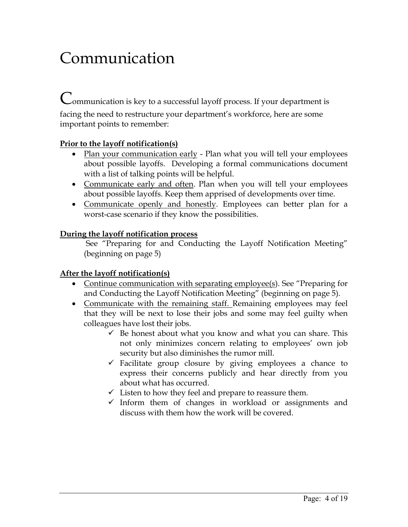### Communication

Communication is key to a successful layoff process. If your department is facing the need to restructure your department's workforce, here are some important points to remember:

#### **Prior to the layoff notification(s)**

- Plan your communication early Plan what you will tell your employees about possible layoffs. Developing a formal communications document with a list of talking points will be helpful.
- Communicate early and often. Plan when you will tell your employees about possible layoffs. Keep them apprised of developments over time.
- Communicate openly and honestly. Employees can better plan for a worst-case scenario if they know the possibilities.

#### **During the layoff notification process**

 See "Preparing for and Conducting the Layoff Notification Meeting" (beginning on page 5)

#### **After the layoff notification(s)**

- Continue communication with separating employee(s). See "Preparing for and Conducting the Layoff Notification Meeting" (beginning on page 5).
- Communicate with the remaining staff. Remaining employees may feel that they will be next to lose their jobs and some may feel guilty when colleagues have lost their jobs.
	- $\checkmark$  Be honest about what you know and what you can share. This not only minimizes concern relating to employees' own job security but also diminishes the rumor mill.
	- $\checkmark$  Facilitate group closure by giving employees a chance to express their concerns publicly and hear directly from you about what has occurred.
	- $\checkmark$  Listen to how they feel and prepare to reassure them.
	- $\checkmark$  Inform them of changes in workload or assignments and discuss with them how the work will be covered.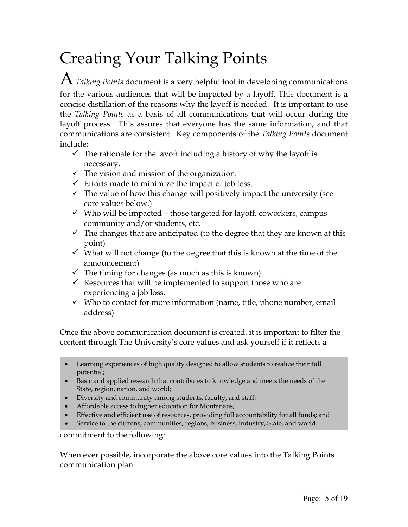### Creating Your Talking Points

 ${\rm A}$  *Talking Points* document is a very helpful tool in developing communications for the various audiences that will be impacted by a layoff. This document is a concise distillation of the reasons why the layoff is needed. It is important to use the *Talking Points* as a basis of all communications that will occur during the layoff process.This assures that everyone has the same information, and that communications are consistent. Key components of the *Talking Points* document include:

- $\checkmark$  The rationale for the layoff including a history of why the layoff is necessary.
- $\checkmark$  The vision and mission of the organization.
- $\checkmark$  Efforts made to minimize the impact of job loss.
- $\checkmark$  The value of how this change will positively impact the university (see core values below.)
- $\checkmark$  Who will be impacted those targeted for layoff, coworkers, campus community and/or students, etc.
- $\checkmark$  The changes that are anticipated (to the degree that they are known at this point)
- $\checkmark$  What will not change (to the degree that this is known at the time of the announcement)
- $\checkmark$  The timing for changes (as much as this is known)
- $\checkmark$  Resources that will be implemented to support those who are experiencing a job loss.
- $\checkmark$  Who to contact for more information (name, title, phone number, email address)

Once the above communication document is created, it is important to filter the content through The University's core values and ask yourself if it reflects a

- Learning experiences of high quality designed to allow students to realize their full potential;
- Basic and applied research that contributes to knowledge and meets the needs of the State, region, nation, and world;
- Diversity and community among students, faculty, and staff;
- Affordable access to higher education for Montanans;
- Effective and efficient use of resources, providing full accountability for all funds; and
- Service to the citizens, communities, regions, business, industry, State, and world.

commitment to the following:

When ever possible, incorporate the above core values into the Talking Points communication plan.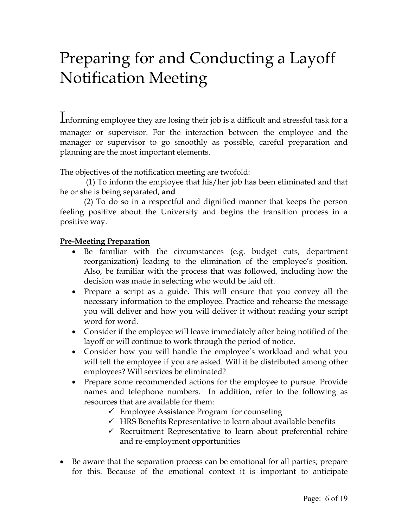### Preparing for and Conducting a Layoff Notification Meeting

Informing employee they are losing their job is a difficult and stressful task for a manager or supervisor. For the interaction between the employee and the manager or supervisor to go smoothly as possible, careful preparation and planning are the most important elements.

The objectives of the notification meeting are twofold:

 (1) To inform the employee that his/her job has been eliminated and that he or she is being separated, **and**

(2) To do so in a respectful and dignified manner that keeps the person feeling positive about the University and begins the transition process in a positive way.

#### **Pre-Meeting Preparation**

- Be familiar with the circumstances (e.g. budget cuts, department reorganization) leading to the elimination of the employee's position. Also, be familiar with the process that was followed, including how the decision was made in selecting who would be laid off.
- Prepare a script as a guide. This will ensure that you convey all the necessary information to the employee. Practice and rehearse the message you will deliver and how you will deliver it without reading your script word for word.
- Consider if the employee will leave immediately after being notified of the layoff or will continue to work through the period of notice.
- Consider how you will handle the employee's workload and what you will tell the employee if you are asked. Will it be distributed among other employees? Will services be eliminated?
- Prepare some recommended actions for the employee to pursue. Provide names and telephone numbers. In addition, refer to the following as resources that are available for them:
	- $\checkmark$  Employee Assistance Program for counseling
	- $\checkmark$  HRS Benefits Representative to learn about available benefits
	- $\checkmark$  Recruitment Representative to learn about preferential rehire and re-employment opportunities
- Be aware that the separation process can be emotional for all parties; prepare for this. Because of the emotional context it is important to anticipate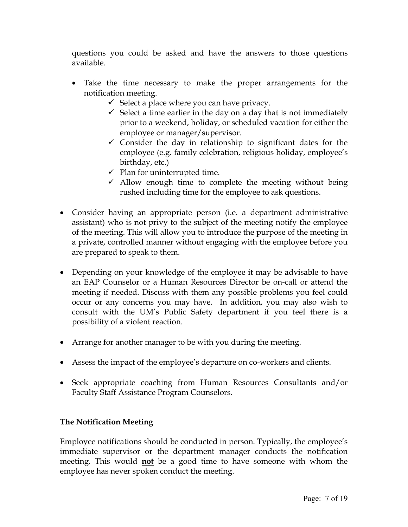questions you could be asked and have the answers to those questions available.

- Take the time necessary to make the proper arrangements for the notification meeting.
	- $\checkmark$  Select a place where you can have privacy.
	- $\checkmark$  Select a time earlier in the day on a day that is not immediately prior to a weekend, holiday, or scheduled vacation for either the employee or manager/supervisor.
	- $\checkmark$  Consider the day in relationship to significant dates for the employee (e.g. family celebration, religious holiday, employee's birthday, etc.)
	- $\checkmark$  Plan for uninterrupted time.
	- $\checkmark$  Allow enough time to complete the meeting without being rushed including time for the employee to ask questions.
- Consider having an appropriate person (i.e. a department administrative assistant) who is not privy to the subject of the meeting notify the employee of the meeting. This will allow you to introduce the purpose of the meeting in a private, controlled manner without engaging with the employee before you are prepared to speak to them.
- Depending on your knowledge of the employee it may be advisable to have an EAP Counselor or a Human Resources Director be on-call or attend the meeting if needed. Discuss with them any possible problems you feel could occur or any concerns you may have. In addition, you may also wish to consult with the UM's Public Safety department if you feel there is a possibility of a violent reaction.
- Arrange for another manager to be with you during the meeting.
- Assess the impact of the employee's departure on co-workers and clients.
- Seek appropriate coaching from Human Resources Consultants and/or Faculty Staff Assistance Program Counselors.

#### **The Notification Meeting**

Employee notifications should be conducted in person. Typically, the employee's immediate supervisor or the department manager conducts the notification meeting. This would **not** be a good time to have someone with whom the employee has never spoken conduct the meeting.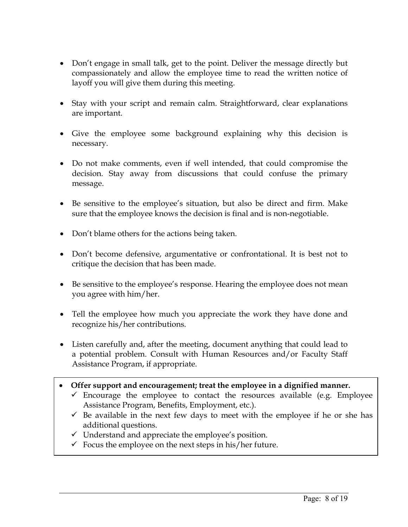- Don't engage in small talk, get to the point. Deliver the message directly but compassionately and allow the employee time to read the written notice of layoff you will give them during this meeting.
- Stay with your script and remain calm. Straightforward, clear explanations are important.
- Give the employee some background explaining why this decision is necessary.
- Do not make comments, even if well intended, that could compromise the decision. Stay away from discussions that could confuse the primary message.
- Be sensitive to the employee's situation, but also be direct and firm. Make sure that the employee knows the decision is final and is non-negotiable.
- Don't blame others for the actions being taken.
- Don't become defensive, argumentative or confrontational. It is best not to critique the decision that has been made.
- Be sensitive to the employee's response. Hearing the employee does not mean you agree with him/her.
- Tell the employee how much you appreciate the work they have done and recognize his/her contributions.
- Listen carefully and, after the meeting, document anything that could lead to a potential problem. Consult with Human Resources and/or Faculty Staff Assistance Program, if appropriate.
- **Offer support and encouragement; treat the employee in a dignified manner.** 
	- $\checkmark$  Encourage the employee to contact the resources available (e.g. Employee Assistance Program, Benefits, Employment, etc.).
	- $\checkmark$  Be available in the next few days to meet with the employee if he or she has additional questions.
	- $\checkmark$  Understand and appreciate the employee's position.
	- $\checkmark$  Focus the employee on the next steps in his/her future.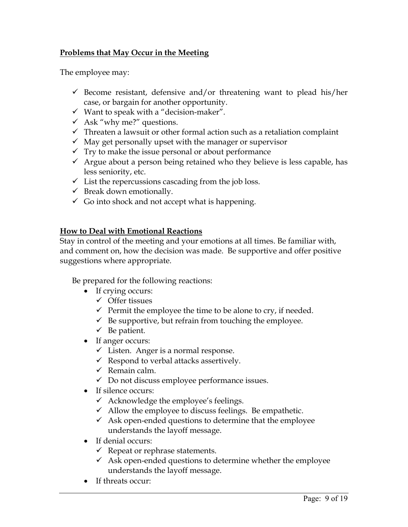#### **Problems that May Occur in the Meeting**

The employee may:

- $\checkmark$  Become resistant, defensive and/or threatening want to plead his/her case, or bargain for another opportunity.
- $\checkmark$  Want to speak with a "decision-maker".
- $\checkmark$  Ask "why me?" questions.
- $\checkmark$  Threaten a lawsuit or other formal action such as a retaliation complaint
- $\checkmark$  May get personally upset with the manager or supervisor
- $\checkmark$  Try to make the issue personal or about performance
- $\checkmark$  Argue about a person being retained who they believe is less capable, has less seniority, etc.
- $\checkmark$  List the repercussions cascading from the job loss.
- $\checkmark$  Break down emotionally.
- $\checkmark$  Go into shock and not accept what is happening.

#### **How to Deal with Emotional Reactions**

Stay in control of the meeting and your emotions at all times. Be familiar with, and comment on, how the decision was made. Be supportive and offer positive suggestions where appropriate.

Be prepared for the following reactions:

- If crying occurs:
	- $\checkmark$  Offer tissues
	- $\checkmark$  Permit the employee the time to be alone to cry, if needed.
	- $\checkmark$  Be supportive, but refrain from touching the employee.
	- $\checkmark$  Be patient.
- If anger occurs:
	- $\checkmark$  Listen. Anger is a normal response.
	- $\checkmark$  Respond to verbal attacks assertively.
	- $\checkmark$  Remain calm.
	- $\checkmark$  Do not discuss employee performance issues.
- If silence occurs:
	- $\checkmark$  Acknowledge the employee's feelings.
	- $\checkmark$  Allow the employee to discuss feelings. Be empathetic.
	- $\checkmark$  Ask open-ended questions to determine that the employee understands the layoff message.
- If denial occurs:
	- $\checkmark$  Repeat or rephrase statements.
	- $\checkmark$  Ask open-ended questions to determine whether the employee understands the layoff message.
- If threats occur: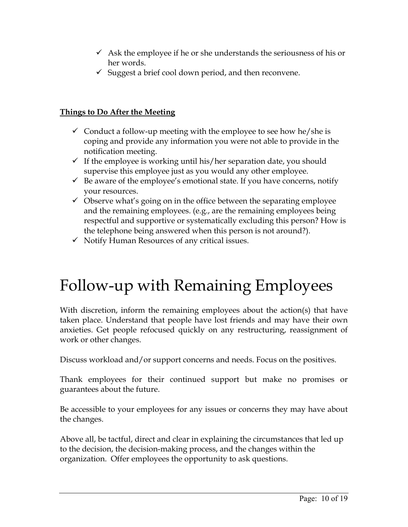- $\checkmark$  Ask the employee if he or she understands the seriousness of his or her words.
- $\checkmark$  Suggest a brief cool down period, and then reconvene.

#### **Things to Do After the Meeting**

- $\checkmark$  Conduct a follow-up meeting with the employee to see how he/she is coping and provide any information you were not able to provide in the notification meeting.
- $\checkmark$  If the employee is working until his/her separation date, you should supervise this employee just as you would any other employee.
- $\checkmark$  Be aware of the employee's emotional state. If you have concerns, notify your resources.
- $\checkmark$  Observe what's going on in the office between the separating employee and the remaining employees. (e.g., are the remaining employees being respectful and supportive or systematically excluding this person? How is the telephone being answered when this person is not around?).
- $\checkmark$  Notify Human Resources of any critical issues.

### Follow-up with Remaining Employees

With discretion, inform the remaining employees about the action(s) that have taken place. Understand that people have lost friends and may have their own anxieties. Get people refocused quickly on any restructuring, reassignment of work or other changes.

Discuss workload and/or support concerns and needs. Focus on the positives.

Thank employees for their continued support but make no promises or guarantees about the future.

Be accessible to your employees for any issues or concerns they may have about the changes.

Above all, be tactful, direct and clear in explaining the circumstances that led up to the decision, the decision-making process, and the changes within the organization. Offer employees the opportunity to ask questions.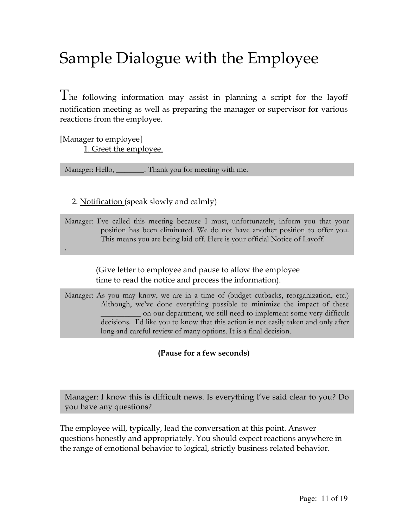### Sample Dialogue with the Employee

The following information may assist in planning a script for the layoff notification meeting as well as preparing the manager or supervisor for various reactions from the employee.

[Manager to employee] 1. Greet the employee.

.

Manager: Hello, \_\_\_\_\_\_\_\_. Thank you for meeting with me.

#### 2. Notification (speak slowly and calmly)

Manager: I've called this meeting because I must, unfortunately, inform you that your position has been eliminated. We do not have another position to offer you. This means you are being laid off. Here is your official Notice of Layoff.

> (Give letter to employee and pause to allow the employee time to read the notice and process the information).

Manager: As you may know, we are in a time of (budget cutbacks, reorganization, etc.) Although, we've done everything possible to minimize the impact of these \_\_\_\_\_\_\_\_\_\_ on our department, we still need to implement some very difficult decisions. I'd like you to know that this action is not easily taken and only after long and careful review of many options. It is a final decision.

**(Pause for a few seconds)** 

Manager: I know this is difficult news. Is everything I've said clear to you? Do you have any questions?

The employee will, typically, lead the conversation at this point. Answer questions honestly and appropriately. You should expect reactions anywhere in the range of emotional behavior to logical, strictly business related behavior.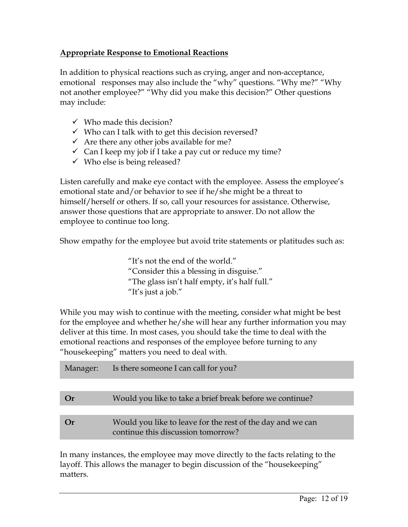#### **Appropriate Response to Emotional Reactions**

In addition to physical reactions such as crying, anger and non-acceptance, emotional responses may also include the "why" questions. "Why me?" "Why not another employee?" "Why did you make this decision?" Other questions may include:

- $\checkmark$  Who made this decision?
- $\checkmark$  Who can I talk with to get this decision reversed?
- $\checkmark$  Are there any other jobs available for me?
- $\checkmark$  Can I keep my job if I take a pay cut or reduce my time?
- $\checkmark$  Who else is being released?

Listen carefully and make eye contact with the employee. Assess the employee's emotional state and/or behavior to see if he/she might be a threat to himself/herself or others. If so, call your resources for assistance. Otherwise, answer those questions that are appropriate to answer. Do not allow the employee to continue too long.

Show empathy for the employee but avoid trite statements or platitudes such as:

"It's not the end of the world." "Consider this a blessing in disguise." "The glass isn't half empty, it's half full." "It's just a job."

While you may wish to continue with the meeting, consider what might be best for the employee and whether he/she will hear any further information you may deliver at this time. In most cases, you should take the time to deal with the emotional reactions and responses of the employee before turning to any "housekeeping" matters you need to deal with.

| Manager: | Is there someone I can call for you?                                                             |
|----------|--------------------------------------------------------------------------------------------------|
|          |                                                                                                  |
| (r)      | Would you like to take a brief break before we continue?                                         |
|          |                                                                                                  |
| (r)      | Would you like to leave for the rest of the day and we can<br>continue this discussion tomorrow? |
|          |                                                                                                  |

In many instances, the employee may move directly to the facts relating to the layoff. This allows the manager to begin discussion of the "housekeeping" matters.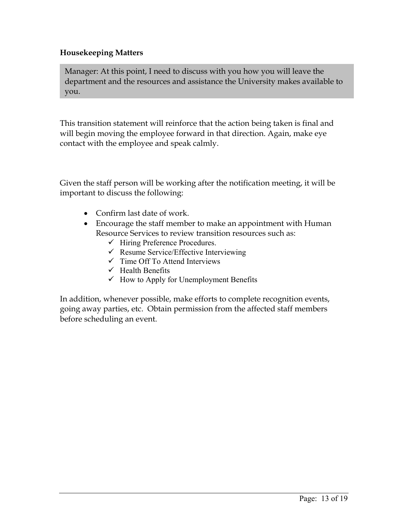#### **Housekeeping Matters**

Manager: At this point, I need to discuss with you how you will leave the department and the resources and assistance the University makes available to you.

This transition statement will reinforce that the action being taken is final and will begin moving the employee forward in that direction. Again, make eye contact with the employee and speak calmly.

Given the staff person will be working after the notification meeting, it will be important to discuss the following:

- Confirm last date of work.
- Encourage the staff member to make an appointment with Human Resource Services to review transition resources such as:
	- $\checkmark$  Hiring Preference Procedures.
	- $\checkmark$  Resume Service/Effective Interviewing
	- $\checkmark$  Time Off To Attend Interviews
	- $\checkmark$  Health Benefits
	- $\checkmark$  How to Apply for Unemployment Benefits

In addition, whenever possible, make efforts to complete recognition events, going away parties, etc. Obtain permission from the affected staff members before scheduling an event.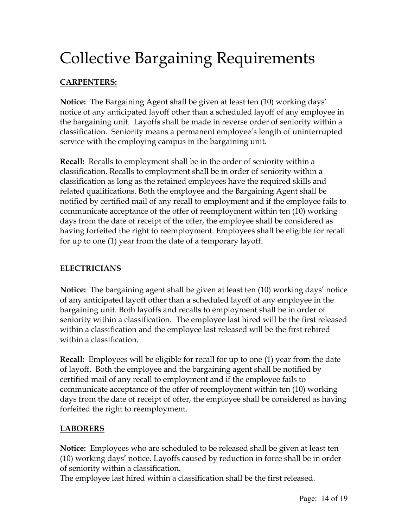### Collective Bargaining Requirements

#### **CARPENTERS:**

**Notice:** The Bargaining Agent shall be given at least ten (10) working days' notice of any anticipated layoff other than a scheduled layoff of any employee in the bargaining unit. Layoffs shall be made in reverse order of seniority within a classification. Seniority means a permanent employee's length of uninterrupted service with the employing campus in the bargaining unit.

**Recall:** Recalls to employment shall be in the order of seniority within a classification. Recalls to employment shall be in order of seniority within a classification as long as the retained employees have the required skills and related qualifications. Both the employee and the Bargaining Agent shall be notified by certified mail of any recall to employment and if the employee fails to communicate acceptance of the offer of reemployment within ten (10) working days from the date of receipt of the offer, the employee shall be considered as having forfeited the right to reemployment. Employees shall be eligible for recall for up to one (1) year from the date of a temporary layoff.

#### **ELECTRICIANS**

**Notice:** The bargaining agent shall be given at least ten (10) working days' notice of any anticipated layoff other than a scheduled layoff of any employee in the bargaining unit. Both layoffs and recalls to employment shall be in order of seniority within a classification. The employee last hired will be the first released within a classification and the employee last released will be the first rehired within a classification.

**Recall:** Employees will be eligible for recall for up to one (1) year from the date of layoff. Both the employee and the bargaining agent shall be notified by certified mail of any recall to employment and if the employee fails to communicate acceptance of the offer of reemployment within ten (10) working days from the date of receipt of offer, the employee shall be considered as having forfeited the right to reemployment.

#### **LABORERS**

**Notice:** Employees who are scheduled to be released shall be given at least ten (10) working days' notice. Layoffs caused by reduction in force shall be in order of seniority within a classification.

The employee last hired within a classification shall be the first released.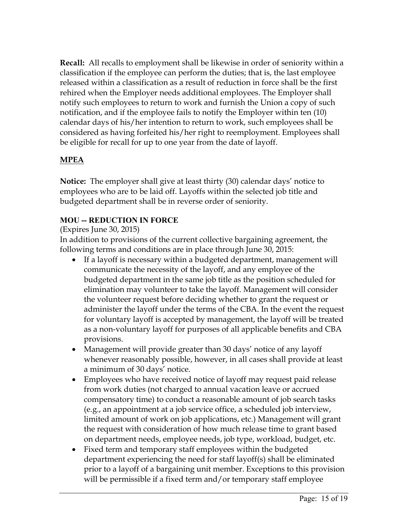**Recall:** All recalls to employment shall be likewise in order of seniority within a classification if the employee can perform the duties; that is, the last employee released within a classification as a result of reduction in force shall be the first rehired when the Employer needs additional employees. The Employer shall notify such employees to return to work and furnish the Union a copy of such notification, and if the employee fails to notify the Employer within ten (10) calendar days of his/her intention to return to work, such employees shall be considered as having forfeited his/her right to reemployment. Employees shall be eligible for recall for up to one year from the date of layoff.

#### **MPEA**

**Notice:** The employer shall give at least thirty (30) calendar days' notice to employees who are to be laid off. Layoffs within the selected job title and budgeted department shall be in reverse order of seniority.

#### **MOU -- REDUCTION IN FORCE**

#### (Expires June 30, 2015)

In addition to provisions of the current collective bargaining agreement, the following terms and conditions are in place through June 30, 2015:

- If a layoff is necessary within a budgeted department, management will communicate the necessity of the layoff, and any employee of the budgeted department in the same job title as the position scheduled for elimination may volunteer to take the layoff. Management will consider the volunteer request before deciding whether to grant the request or administer the layoff under the terms of the CBA. In the event the request for voluntary layoff is accepted by management, the layoff will be treated as a non-voluntary layoff for purposes of all applicable benefits and CBA provisions.
- Management will provide greater than 30 days' notice of any layoff whenever reasonably possible, however, in all cases shall provide at least a minimum of 30 days' notice.
- Employees who have received notice of layoff may request paid release from work duties (not charged to annual vacation leave or accrued compensatory time) to conduct a reasonable amount of job search tasks (e.g., an appointment at a job service office, a scheduled job interview, limited amount of work on job applications, etc.) Management will grant the request with consideration of how much release time to grant based on department needs, employee needs, job type, workload, budget, etc.
- Fixed term and temporary staff employees within the budgeted department experiencing the need for staff layoff(s) shall be eliminated prior to a layoff of a bargaining unit member. Exceptions to this provision will be permissible if a fixed term and/or temporary staff employee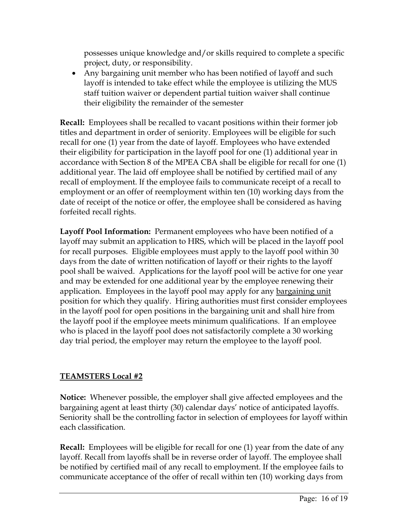possesses unique knowledge and/or skills required to complete a specific project, duty, or responsibility.

 Any bargaining unit member who has been notified of layoff and such layoff is intended to take effect while the employee is utilizing the MUS staff tuition waiver or dependent partial tuition waiver shall continue their eligibility the remainder of the semester

**Recall:** Employees shall be recalled to vacant positions within their former job titles and department in order of seniority. Employees will be eligible for such recall for one (1) year from the date of layoff. Employees who have extended their eligibility for participation in the layoff pool for one (1) additional year in accordance with Section 8 of the MPEA CBA shall be eligible for recall for one (1) additional year. The laid off employee shall be notified by certified mail of any recall of employment. If the employee fails to communicate receipt of a recall to employment or an offer of reemployment within ten (10) working days from the date of receipt of the notice or offer, the employee shall be considered as having forfeited recall rights.

**Layoff Pool Information:** Permanent employees who have been notified of a layoff may submit an application to HRS, which will be placed in the layoff pool for recall purposes. Eligible employees must apply to the layoff pool within 30 days from the date of written notification of layoff or their rights to the layoff pool shall be waived. Applications for the layoff pool will be active for one year and may be extended for one additional year by the employee renewing their application. Employees in the layoff pool may apply for any bargaining unit position for which they qualify. Hiring authorities must first consider employees in the layoff pool for open positions in the bargaining unit and shall hire from the layoff pool if the employee meets minimum qualifications. If an employee who is placed in the layoff pool does not satisfactorily complete a 30 working day trial period, the employer may return the employee to the layoff pool.

#### **TEAMSTERS Local #2**

**Notice:** Whenever possible, the employer shall give affected employees and the bargaining agent at least thirty (30) calendar days' notice of anticipated layoffs. Seniority shall be the controlling factor in selection of employees for layoff within each classification.

**Recall:** Employees will be eligible for recall for one (1) year from the date of any layoff. Recall from layoffs shall be in reverse order of layoff. The employee shall be notified by certified mail of any recall to employment. If the employee fails to communicate acceptance of the offer of recall within ten (10) working days from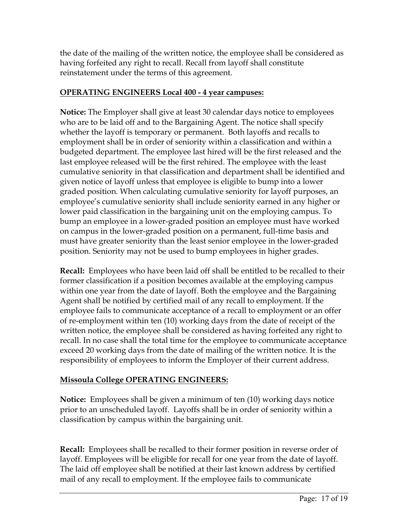the date of the mailing of the written notice, the employee shall be considered as having forfeited any right to recall. Recall from layoff shall constitute reinstatement under the terms of this agreement.

#### **OPERATING ENGINEERS Local 400 - 4 year campuses:**

**Notice:** The Employer shall give at least 30 calendar days notice to employees who are to be laid off and to the Bargaining Agent. The notice shall specify whether the layoff is temporary or permanent. Both layoffs and recalls to employment shall be in order of seniority within a classification and within a budgeted department. The employee last hired will be the first released and the last employee released will be the first rehired. The employee with the least cumulative seniority in that classification and department shall be identified and given notice of layoff unless that employee is eligible to bump into a lower graded position. When calculating cumulative seniority for layoff purposes, an employee's cumulative seniority shall include seniority earned in any higher or lower paid classification in the bargaining unit on the employing campus. To bump an employee in a lower-graded position an employee must have worked on campus in the lower-graded position on a permanent, full-time basis and must have greater seniority than the least senior employee in the lower-graded position. Seniority may not be used to bump employees in higher grades.

**Recall:** Employees who have been laid off shall be entitled to be recalled to their former classification if a position becomes available at the employing campus within one year from the date of layoff. Both the employee and the Bargaining Agent shall be notified by certified mail of any recall to employment. If the employee fails to communicate acceptance of a recall to employment or an offer of re-employment within ten (10) working days from the date of receipt of the written notice, the employee shall be considered as having forfeited any right to recall. In no case shall the total time for the employee to communicate acceptance exceed 20 working days from the date of mailing of the written notice. It is the responsibility of employees to inform the Employer of their current address.

#### **Missoula College OPERATING ENGINEERS:**

**Notice:** Employees shall be given a minimum of ten (10) working days notice prior to an unscheduled layoff. Layoffs shall be in order of seniority within a classification by campus within the bargaining unit.

**Recall:** Employees shall be recalled to their former position in reverse order of layoff. Employees will be eligible for recall for one year from the date of layoff. The laid off employee shall be notified at their last known address by certified mail of any recall to employment. If the employee fails to communicate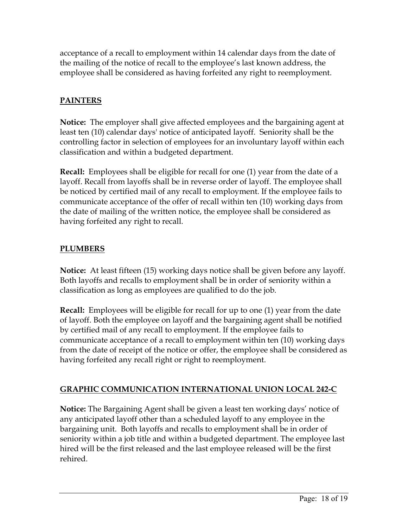acceptance of a recall to employment within 14 calendar days from the date of the mailing of the notice of recall to the employee's last known address, the employee shall be considered as having forfeited any right to reemployment.

#### **PAINTERS**

**Notice:** The employer shall give affected employees and the bargaining agent at least ten (10) calendar days' notice of anticipated layoff. Seniority shall be the controlling factor in selection of employees for an involuntary layoff within each classification and within a budgeted department.

**Recall:** Employees shall be eligible for recall for one (1) year from the date of a layoff. Recall from layoffs shall be in reverse order of layoff. The employee shall be noticed by certified mail of any recall to employment. If the employee fails to communicate acceptance of the offer of recall within ten (10) working days from the date of mailing of the written notice, the employee shall be considered as having forfeited any right to recall.

#### **PLUMBERS**

**Notice:** At least fifteen (15) working days notice shall be given before any layoff. Both layoffs and recalls to employment shall be in order of seniority within a classification as long as employees are qualified to do the job.

**Recall:** Employees will be eligible for recall for up to one (1) year from the date of layoff. Both the employee on layoff and the bargaining agent shall be notified by certified mail of any recall to employment. If the employee fails to communicate acceptance of a recall to employment within ten (10) working days from the date of receipt of the notice or offer, the employee shall be considered as having forfeited any recall right or right to reemployment.

#### **GRAPHIC COMMUNICATION INTERNATIONAL UNION LOCAL 242-C**

**Notice:** The Bargaining Agent shall be given a least ten working days' notice of any anticipated layoff other than a scheduled layoff to any employee in the bargaining unit. Both layoffs and recalls to employment shall be in order of seniority within a job title and within a budgeted department. The employee last hired will be the first released and the last employee released will be the first rehired.